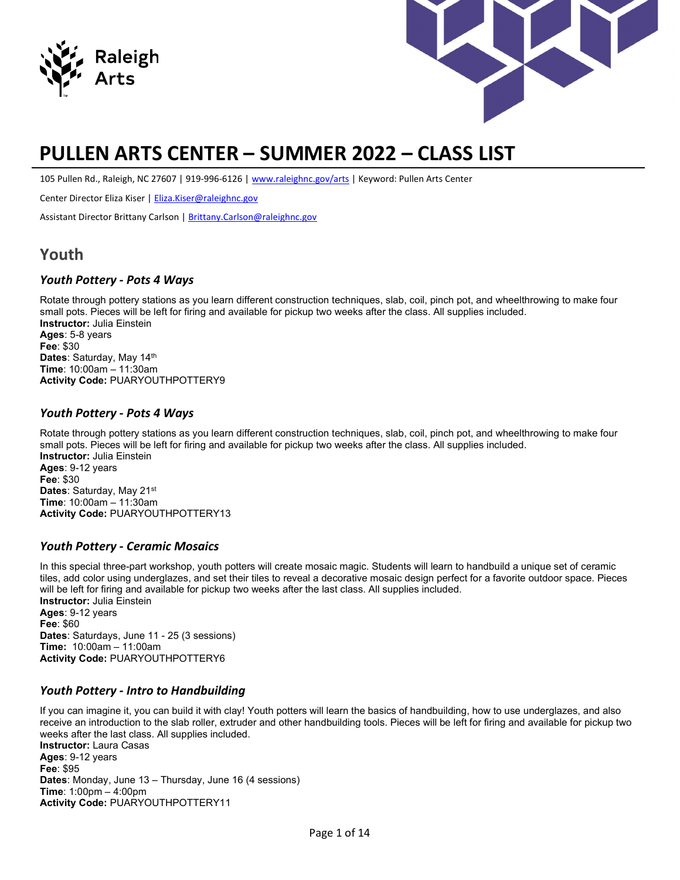



# PULLEN ARTS CENTER – SUMMER 2022 – CLASS LIST

105 Pullen Rd., Raleigh, NC 27607 | 919-996-6126 | www.raleighnc.gov/arts | Keyword: Pullen Arts Center

Center Director Eliza Kiser | Eliza.Kiser@raleighnc.gov

Assistant Director Brittany Carlson | Brittany.Carlson@raleighnc.gov

### Youth

#### Youth Pottery - Pots 4 Ways

Rotate through pottery stations as you learn different construction techniques, slab, coil, pinch pot, and wheelthrowing to make four small pots. Pieces will be left for firing and available for pickup two weeks after the class. All supplies included. Instructor: Julia Einstein Ages: 5-8 years Fee: \$30 Dates: Saturday, May 14<sup>th</sup> Time: 10:00am – 11:30am Activity Code: PUARYOUTHPOTTERY9

#### Youth Pottery - Pots 4 Ways

Rotate through pottery stations as you learn different construction techniques, slab, coil, pinch pot, and wheelthrowing to make four small pots. Pieces will be left for firing and available for pickup two weeks after the class. All supplies included. Instructor: Julia Einstein Ages: 9-12 years Fee: \$30 Dates: Saturday, May 21<sup>st</sup> Time: 10:00am – 11:30am Activity Code: PUARYOUTHPOTTERY13

#### Youth Pottery - Ceramic Mosaics

In this special three-part workshop, youth potters will create mosaic magic. Students will learn to handbuild a unique set of ceramic tiles, add color using underglazes, and set their tiles to reveal a decorative mosaic design perfect for a favorite outdoor space. Pieces will be left for firing and available for pickup two weeks after the last class. All supplies included. Instructor: Julia Einstein Ages: 9-12 years Fee: \$60 Dates: Saturdays, June 11 - 25 (3 sessions) Time: 10:00am – 11:00am

#### Youth Pottery - Intro to Handbuilding

Activity Code: PUARYOUTHPOTTERY6

If you can imagine it, you can build it with clay! Youth potters will learn the basics of handbuilding, how to use underglazes, and also receive an introduction to the slab roller, extruder and other handbuilding tools. Pieces will be left for firing and available for pickup two weeks after the last class. All supplies included. Instructor: Laura Casas Ages: 9-12 years

Fee: \$95 Dates: Monday, June 13 – Thursday, June 16 (4 sessions) Time: 1:00pm – 4:00pm Activity Code: PUARYOUTHPOTTERY11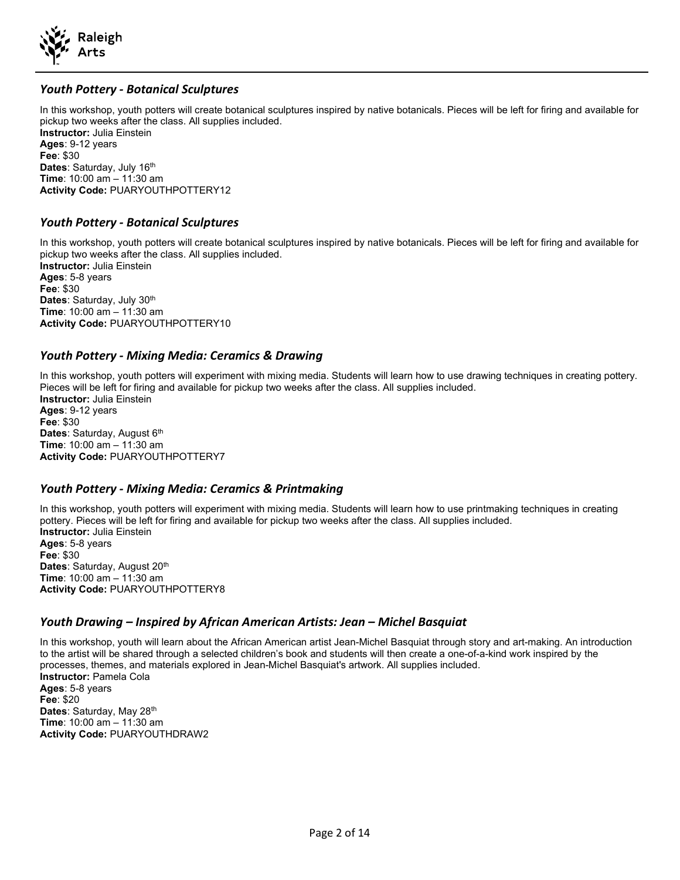

#### Youth Pottery - Botanical Sculptures

In this workshop, youth potters will create botanical sculptures inspired by native botanicals. Pieces will be left for firing and available for pickup two weeks after the class. All supplies included. Instructor: Julia Einstein Ages: 9-12 years Fee: \$30 Dates: Saturday, July 16<sup>th</sup> Time: 10:00 am – 11:30 am Activity Code: PUARYOUTHPOTTERY12

#### Youth Pottery - Botanical Sculptures

In this workshop, youth potters will create botanical sculptures inspired by native botanicals. Pieces will be left for firing and available for pickup two weeks after the class. All supplies included. Instructor: Julia Einstein Ages: 5-8 years Fee: \$30 Dates: Saturday, July 30<sup>th</sup> Time: 10:00 am – 11:30 am Activity Code: PUARYOUTHPOTTERY10

#### Youth Pottery - Mixing Media: Ceramics & Drawing

In this workshop, youth potters will experiment with mixing media. Students will learn how to use drawing techniques in creating pottery. Pieces will be left for firing and available for pickup two weeks after the class. All supplies included. Instructor: Julia Einstein Ages: 9-12 years Fee: \$30 Dates: Saturday, August 6<sup>th</sup> Time: 10:00 am – 11:30 am Activity Code: PUARYOUTHPOTTERY7

#### Youth Pottery - Mixing Media: Ceramics & Printmaking

In this workshop, youth potters will experiment with mixing media. Students will learn how to use printmaking techniques in creating pottery. Pieces will be left for firing and available for pickup two weeks after the class. All supplies included. Instructor: Julia Einstein Ages: 5-8 years Fee: \$30 Dates: Saturday, August 20<sup>th</sup> Time: 10:00 am – 11:30 am Activity Code: PUARYOUTHPOTTERY8

#### Youth Drawing – Inspired by African American Artists: Jean – Michel Basquiat

In this workshop, youth will learn about the African American artist Jean-Michel Basquiat through story and art-making. An introduction to the artist will be shared through a selected children's book and students will then create a one-of-a-kind work inspired by the processes, themes, and materials explored in Jean-Michel Basquiat's artwork. All supplies included. Instructor: Pamela Cola Ages: 5-8 years Fee: \$20 Dates: Saturday, May 28<sup>th</sup> Time: 10:00 am – 11:30 am Activity Code: PUARYOUTHDRAW2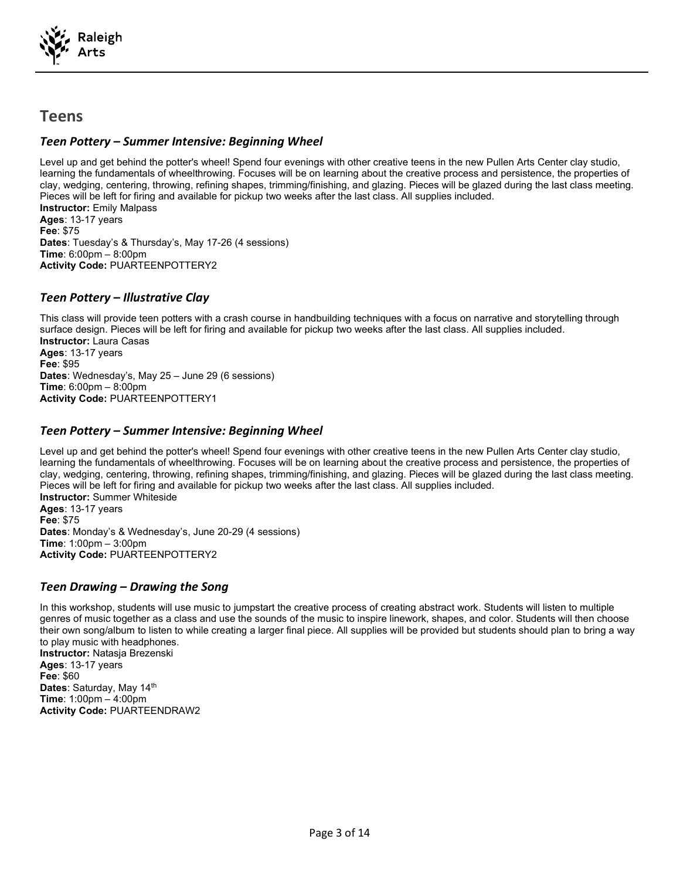

### Teens

#### Teen Pottery – Summer Intensive: Beginning Wheel

Level up and get behind the potter's wheel! Spend four evenings with other creative teens in the new Pullen Arts Center clay studio, learning the fundamentals of wheelthrowing. Focuses will be on learning about the creative process and persistence, the properties of clay, wedging, centering, throwing, refining shapes, trimming/finishing, and glazing. Pieces will be glazed during the last class meeting. Pieces will be left for firing and available for pickup two weeks after the last class. All supplies included. Instructor: Emily Malpass

Ages: 13-17 years Fee: \$75 Dates: Tuesday's & Thursday's, May 17-26 (4 sessions) Time: 6:00pm – 8:00pm Activity Code: PUARTEENPOTTERY2

#### Teen Pottery – Illustrative Clay

This class will provide teen potters with a crash course in handbuilding techniques with a focus on narrative and storytelling through surface design. Pieces will be left for firing and available for pickup two weeks after the last class. All supplies included. Instructor: Laura Casas Ages: 13-17 years Fee: \$95 Dates: Wednesday's, May 25 – June 29 (6 sessions) **Time:**  $6:00 \text{pm} - 8:00 \text{pm}$ Activity Code: PUARTEENPOTTERY1

#### Teen Pottery – Summer Intensive: Beginning Wheel

Level up and get behind the potter's wheel! Spend four evenings with other creative teens in the new Pullen Arts Center clay studio, learning the fundamentals of wheelthrowing. Focuses will be on learning about the creative process and persistence, the properties of clay, wedging, centering, throwing, refining shapes, trimming/finishing, and glazing. Pieces will be glazed during the last class meeting. Pieces will be left for firing and available for pickup two weeks after the last class. All supplies included. Instructor: Summer Whiteside Ages: 13-17 years Fee: \$75 Dates: Monday's & Wednesday's, June 20-29 (4 sessions) Time: 1:00pm – 3:00pm Activity Code: PUARTEENPOTTERY2

#### Teen Drawing – Drawing the Song

In this workshop, students will use music to jumpstart the creative process of creating abstract work. Students will listen to multiple genres of music together as a class and use the sounds of the music to inspire linework, shapes, and color. Students will then choose their own song/album to listen to while creating a larger final piece. All supplies will be provided but students should plan to bring a way to play music with headphones. Instructor: Natasja Brezenski

Ages: 13-17 years Fee: \$60 Dates: Saturday, May 14<sup>th</sup> Time: 1:00pm – 4:00pm Activity Code: PUARTEENDRAW2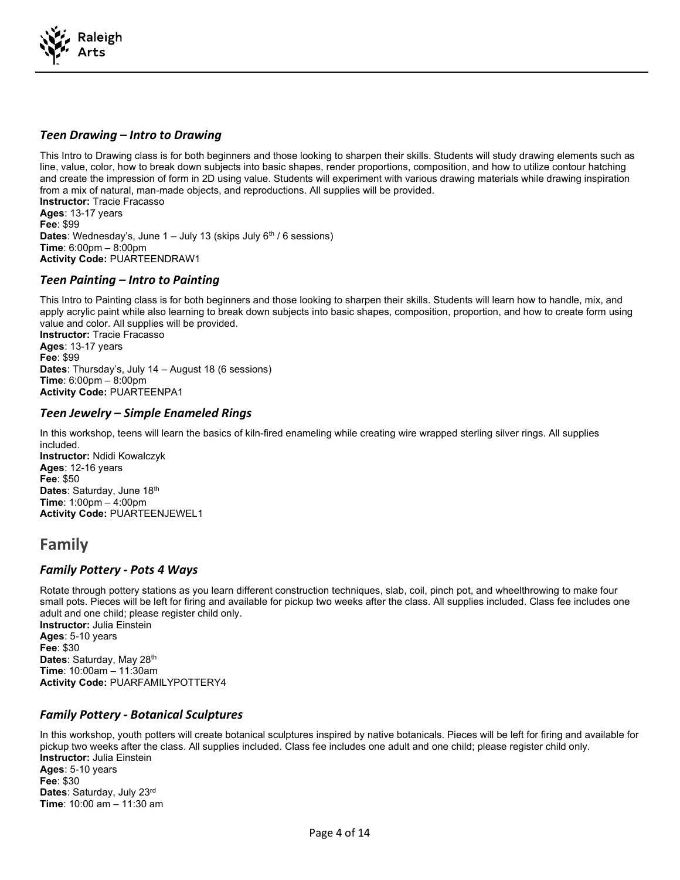

#### Teen Drawing – Intro to Drawing

This Intro to Drawing class is for both beginners and those looking to sharpen their skills. Students will study drawing elements such as line, value, color, how to break down subjects into basic shapes, render proportions, composition, and how to utilize contour hatching and create the impression of form in 2D using value. Students will experiment with various drawing materials while drawing inspiration from a mix of natural, man-made objects, and reproductions. All supplies will be provided. Instructor: Tracie Fracasso Ages: 13-17 years Fee: \$99 **Dates:** Wednesday's, June  $1 -$  July 13 (skips July  $6<sup>th</sup>$  / 6 sessions) Time: 6:00pm – 8:00pm Activity Code: PUARTEENDRAW1

#### Teen Painting – Intro to Painting

This Intro to Painting class is for both beginners and those looking to sharpen their skills. Students will learn how to handle, mix, and apply acrylic paint while also learning to break down subjects into basic shapes, composition, proportion, and how to create form using value and color. All supplies will be provided.

Instructor: Tracie Fracasso Ages: 13-17 years Fee: \$99 Dates: Thursday's, July 14 – August 18 (6 sessions) Time: 6:00pm – 8:00pm Activity Code: PUARTEENPA1

#### Teen Jewelry – Simple Enameled Rings

In this workshop, teens will learn the basics of kiln-fired enameling while creating wire wrapped sterling silver rings. All supplies included. Instructor: Ndidi Kowalczyk

Ages: 12-16 years Fee: \$50 Dates: Saturday, June 18<sup>th</sup> Time: 1:00pm – 4:00pm Activity Code: PUARTEENJEWEL1

# Family

#### Family Pottery - Pots 4 Ways

Rotate through pottery stations as you learn different construction techniques, slab, coil, pinch pot, and wheelthrowing to make four small pots. Pieces will be left for firing and available for pickup two weeks after the class. All supplies included. Class fee includes one adult and one child; please register child only.

Instructor: Julia Einstein Ages: 5-10 years Fee: \$30 Dates: Saturday, May 28<sup>th</sup> Time: 10:00am – 11:30am Activity Code: PUARFAMILYPOTTERY4

#### Family Pottery - Botanical Sculptures

In this workshop, youth potters will create botanical sculptures inspired by native botanicals. Pieces will be left for firing and available for pickup two weeks after the class. All supplies included. Class fee includes one adult and one child; please register child only. Instructor: Julia Einstein Ages: 5-10 years Fee: \$30 Dates: Saturday, July 23rd Time: 10:00 am – 11:30 am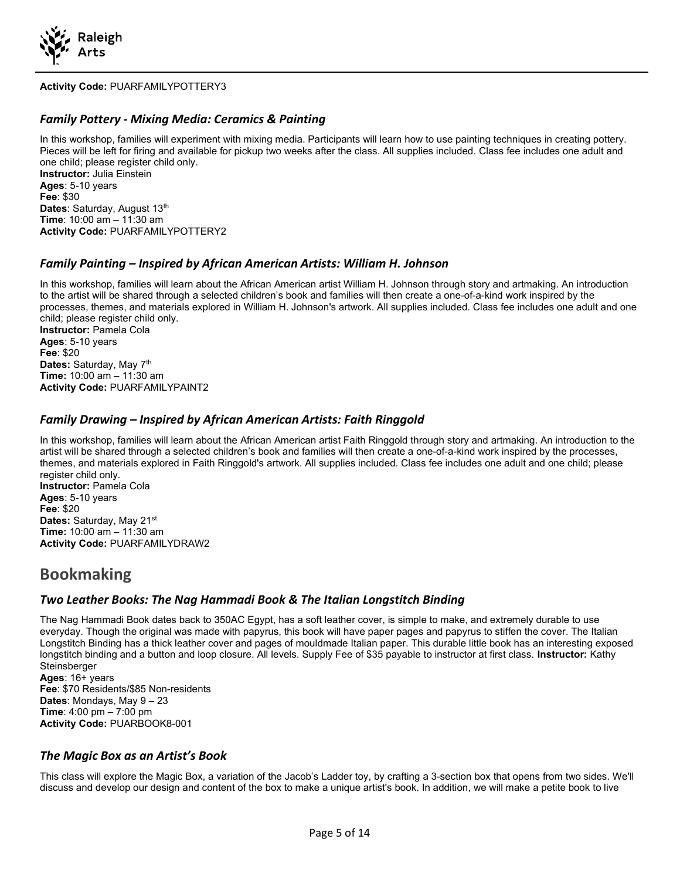

#### Activity Code: PUARFAMILYPOTTERY3

#### Family Pottery - Mixing Media: Ceramics & Painting

In this workshop, families will experiment with mixing media. Participants will learn how to use painting techniques in creating pottery. Pieces will be left for firing and available for pickup two weeks after the class. All supplies included. Class fee includes one adult and one child; please register child only. Instructor: Julia Einstein Ages: 5-10 years Fee: \$30 Dates: Saturday, August 13<sup>th</sup> Time: 10:00 am – 11:30 am Activity Code: PUARFAMILYPOTTERY2

#### Family Painting – Inspired by African American Artists: William H. Johnson

In this workshop, families will learn about the African American artist William H. Johnson through story and artmaking. An introduction to the artist will be shared through a selected children's book and families will then create a one-of-a-kind work inspired by the processes, themes, and materials explored in William H. Johnson's artwork. All supplies included. Class fee includes one adult and one child; please register child only.

Instructor: Pamela Cola Ages: 5-10 years Fee: \$20 Dates: Saturday, May 7th Time: 10:00 am – 11:30 am Activity Code: PUARFAMILYPAINT2

#### Family Drawing – Inspired by African American Artists: Faith Ringgold

In this workshop, families will learn about the African American artist Faith Ringgold through story and artmaking. An introduction to the artist will be shared through a selected children's book and families will then create a one-of-a-kind work inspired by the processes, themes, and materials explored in Faith Ringgold's artwork. All supplies included. Class fee includes one adult and one child; please register child only. Instructor: Pamela Cola Ages: 5-10 years Fee: \$20 Dates: Saturday, May 21<sup>st</sup> Time: 10:00 am – 11:30 am Activity Code: PUARFAMILYDRAW2

### Bookmaking

#### Two Leather Books: The Nag Hammadi Book & The Italian Longstitch Binding

The Nag Hammadi Book dates back to 350AC Egypt, has a soft leather cover, is simple to make, and extremely durable to use everyday. Though the original was made with papyrus, this book will have paper pages and papyrus to stiffen the cover. The Italian Longstitch Binding has a thick leather cover and pages of mouldmade Italian paper. This durable little book has an interesting exposed longstitch binding and a button and loop closure. All levels. Supply Fee of \$35 payable to instructor at first class. Instructor: Kathy Steinsberger Ages: 16+ years

Fee: \$70 Residents/\$85 Non-residents **Dates:** Mondays, May  $9 - 23$ Time: 4:00 pm – 7:00 pm Activity Code: PUARBOOK8-001

#### The Magic Box as an Artist's Book

This class will explore the Magic Box, a variation of the Jacob's Ladder toy, by crafting a 3-section box that opens from two sides. We'll discuss and develop our design and content of the box to make a unique artist's book. In addition, we will make a petite book to live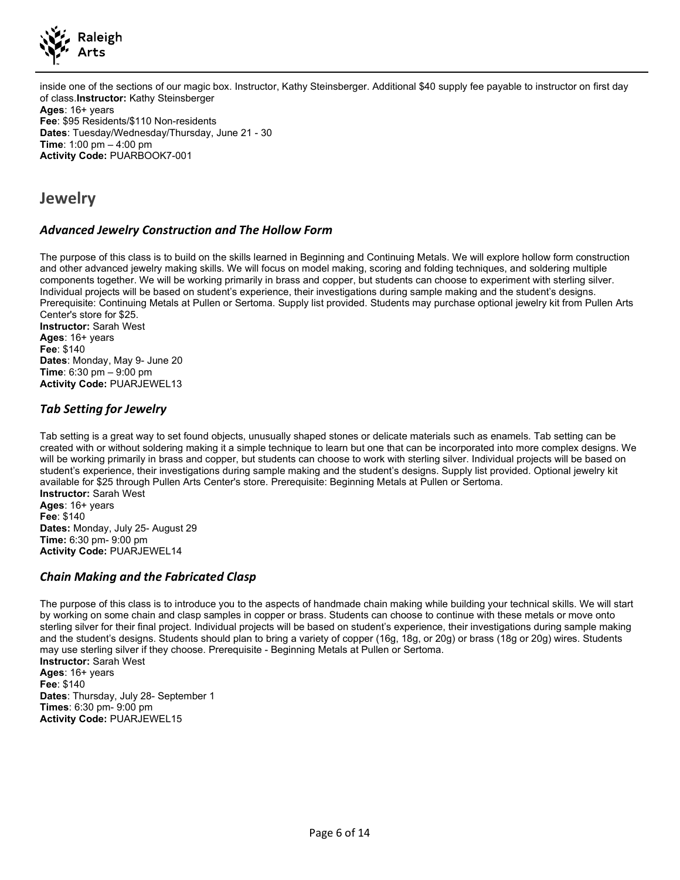

inside one of the sections of our magic box. Instructor, Kathy Steinsberger. Additional \$40 supply fee payable to instructor on first day of class.Instructor: Kathy Steinsberger Ages: 16+ years Fee: \$95 Residents/\$110 Non-residents Dates: Tuesday/Wednesday/Thursday, June 21 - 30 Time: 1:00 pm – 4:00 pm

### Jewelry

#### Advanced Jewelry Construction and The Hollow Form

The purpose of this class is to build on the skills learned in Beginning and Continuing Metals. We will explore hollow form construction and other advanced jewelry making skills. We will focus on model making, scoring and folding techniques, and soldering multiple components together. We will be working primarily in brass and copper, but students can choose to experiment with sterling silver. Individual projects will be based on student's experience, their investigations during sample making and the student's designs. Prerequisite: Continuing Metals at Pullen or Sertoma. Supply list provided. Students may purchase optional jewelry kit from Pullen Arts Center's store for \$25.

Instructor: Sarah West Ages: 16+ years Fee: \$140 Dates: Monday, May 9- June 20 Time: 6:30 pm – 9:00 pm Activity Code: PUARJEWEL13

Activity Code: PUARBOOK7-001

#### Tab Setting for Jewelry

Tab setting is a great way to set found objects, unusually shaped stones or delicate materials such as enamels. Tab setting can be created with or without soldering making it a simple technique to learn but one that can be incorporated into more complex designs. We will be working primarily in brass and copper, but students can choose to work with sterling silver. Individual projects will be based on student's experience, their investigations during sample making and the student's designs. Supply list provided. Optional jewelry kit available for \$25 through Pullen Arts Center's store. Prerequisite: Beginning Metals at Pullen or Sertoma. Instructor: Sarah West Ages: 16+ years Fee: \$140 Dates: Monday, July 25- August 29 Time: 6:30 pm- 9:00 pm Activity Code: PUARJEWEL14

#### Chain Making and the Fabricated Clasp

The purpose of this class is to introduce you to the aspects of handmade chain making while building your technical skills. We will start by working on some chain and clasp samples in copper or brass. Students can choose to continue with these metals or move onto sterling silver for their final project. Individual projects will be based on student's experience, their investigations during sample making and the student's designs. Students should plan to bring a variety of copper (16g, 18g, or 20g) or brass (18g or 20g) wires. Students may use sterling silver if they choose. Prerequisite - Beginning Metals at Pullen or Sertoma. Instructor: Sarah West Ages: 16+ years Fee: \$140 Dates: Thursday, July 28- September 1 Times: 6:30 pm- 9:00 pm Activity Code: PUARJEWEL15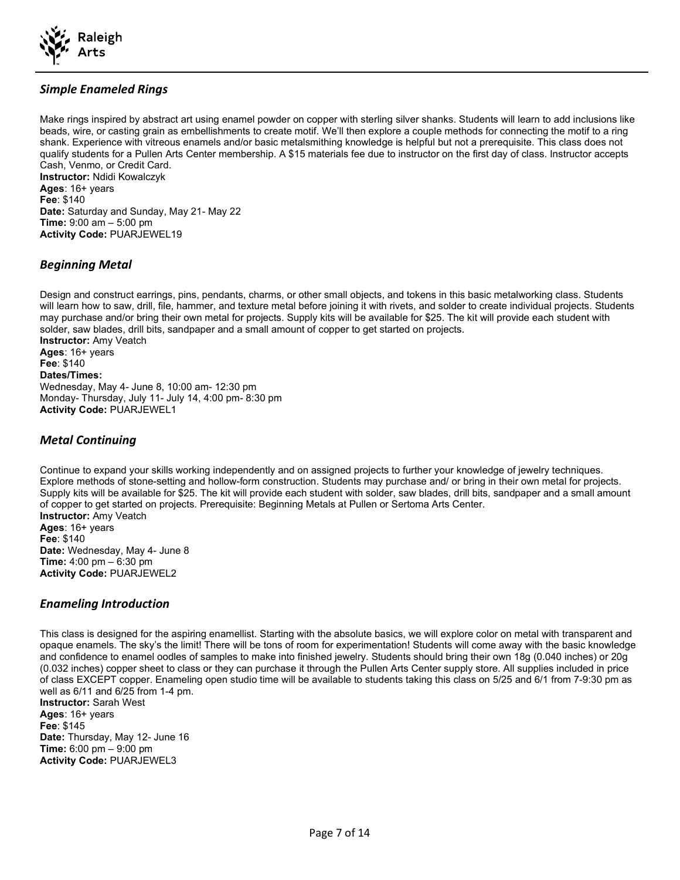

#### Simple Enameled Rings

Make rings inspired by abstract art using enamel powder on copper with sterling silver shanks. Students will learn to add inclusions like beads, wire, or casting grain as embellishments to create motif. We'll then explore a couple methods for connecting the motif to a ring shank. Experience with vitreous enamels and/or basic metalsmithing knowledge is helpful but not a prerequisite. This class does not qualify students for a Pullen Arts Center membership. A \$15 materials fee due to instructor on the first day of class. Instructor accepts Cash, Venmo, or Credit Card. Instructor: Ndidi Kowalczyk Ages: 16+ years Fee: \$140 Date: Saturday and Sunday, May 21- May 22

Time: 9:00 am – 5:00 pm Activity Code: PUARJEWEL19

#### Beginning Metal

Design and construct earrings, pins, pendants, charms, or other small objects, and tokens in this basic metalworking class. Students will learn how to saw, drill, file, hammer, and texture metal before joining it with rivets, and solder to create individual projects. Students may purchase and/or bring their own metal for projects. Supply kits will be available for \$25. The kit will provide each student with solder, saw blades, drill bits, sandpaper and a small amount of copper to get started on projects. Instructor: Amy Veatch Ages: 16+ years Fee: \$140 Dates/Times: Wednesday, May 4- June 8, 10:00 am- 12:30 pm Monday- Thursday, July 11- July 14, 4:00 pm- 8:30 pm Activity Code: PUARJEWEL1

#### Metal Continuing

Continue to expand your skills working independently and on assigned projects to further your knowledge of jewelry techniques. Explore methods of stone-setting and hollow-form construction. Students may purchase and/ or bring in their own metal for projects. Supply kits will be available for \$25. The kit will provide each student with solder, saw blades, drill bits, sandpaper and a small amount of copper to get started on projects. Prerequisite: Beginning Metals at Pullen or Sertoma Arts Center. Instructor: Amy Veatch Ages: 16+ years Fee: \$140 Date: Wednesday, May 4- June 8 Time: 4:00 pm – 6:30 pm Activity Code: PUARJEWEL2

#### Enameling Introduction

This class is designed for the aspiring enamellist. Starting with the absolute basics, we will explore color on metal with transparent and opaque enamels. The sky's the limit! There will be tons of room for experimentation! Students will come away with the basic knowledge and confidence to enamel oodles of samples to make into finished jewelry. Students should bring their own 18g (0.040 inches) or 20g (0.032 inches) copper sheet to class or they can purchase it through the Pullen Arts Center supply store. All supplies included in price of class EXCEPT copper. Enameling open studio time will be available to students taking this class on 5/25 and 6/1 from 7-9:30 pm as well as 6/11 and 6/25 from 1-4 pm.

Instructor: Sarah West Ages: 16+ years Fee: \$145 Date: Thursday, May 12- June 16 Time: 6:00 pm – 9:00 pm Activity Code: PUARJEWEL3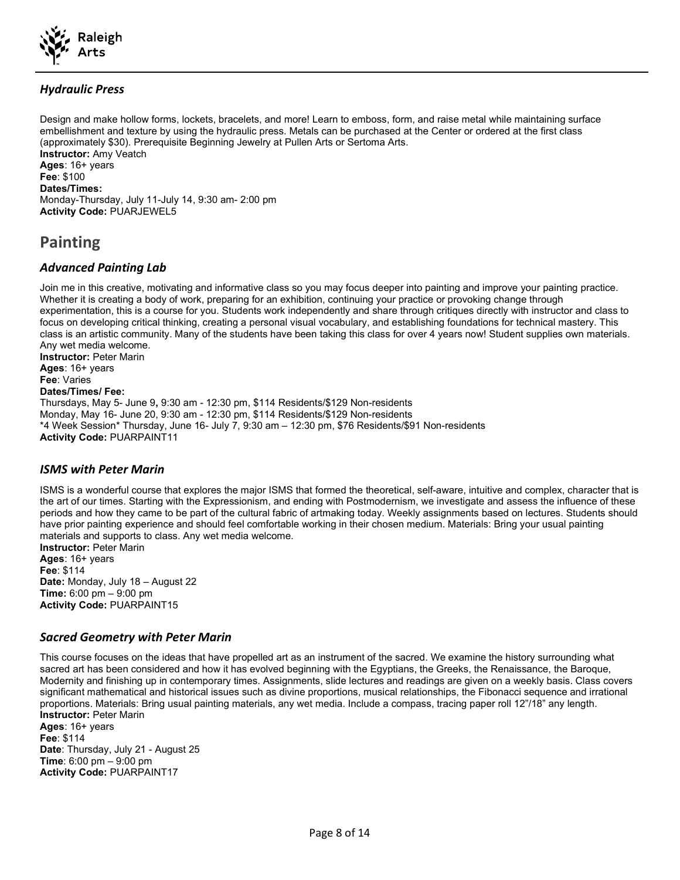

#### Hydraulic Press

Design and make hollow forms, lockets, bracelets, and more! Learn to emboss, form, and raise metal while maintaining surface embellishment and texture by using the hydraulic press. Metals can be purchased at the Center or ordered at the first class (approximately \$30). Prerequisite Beginning Jewelry at Pullen Arts or Sertoma Arts. Instructor: Amy Veatch Ages: 16+ years Fee: \$100 Dates/Times: Monday-Thursday, July 11-July 14, 9:30 am- 2:00 pm Activity Code: PUARJEWEL5

# Painting

#### Advanced Painting Lab

Join me in this creative, motivating and informative class so you may focus deeper into painting and improve your painting practice. Whether it is creating a body of work, preparing for an exhibition, continuing your practice or provoking change through experimentation, this is a course for you. Students work independently and share through critiques directly with instructor and class to focus on developing critical thinking, creating a personal visual vocabulary, and establishing foundations for technical mastery. This class is an artistic community. Many of the students have been taking this class for over 4 years now! Student supplies own materials. Any wet media welcome. Instructor: Peter Marin

Ages: 16+ years Fee: Varies Dates/Times/ Fee: Thursdays, May 5- June 9, 9:30 am - 12:30 pm, \$114 Residents/\$129 Non-residents Monday, May 16- June 20, 9:30 am - 12:30 pm, \$114 Residents/\$129 Non-residents \*4 Week Session\* Thursday, June 16- July 7, 9:30 am – 12:30 pm, \$76 Residents/\$91 Non-residents Activity Code: PUARPAINT11

#### ISMS with Peter Marin

ISMS is a wonderful course that explores the major ISMS that formed the theoretical, self-aware, intuitive and complex, character that is the art of our times. Starting with the Expressionism, and ending with Postmodernism, we investigate and assess the influence of these periods and how they came to be part of the cultural fabric of artmaking today. Weekly assignments based on lectures. Students should have prior painting experience and should feel comfortable working in their chosen medium. Materials: Bring your usual painting materials and supports to class. Any wet media welcome.

Instructor: Peter Marin Ages: 16+ years Fee: \$114 Date: Monday, July 18 – August 22 Time: 6:00 pm – 9:00 pm Activity Code: PUARPAINT15

#### Sacred Geometry with Peter Marin

This course focuses on the ideas that have propelled art as an instrument of the sacred. We examine the history surrounding what sacred art has been considered and how it has evolved beginning with the Egyptians, the Greeks, the Renaissance, the Baroque, Modernity and finishing up in contemporary times. Assignments, slide lectures and readings are given on a weekly basis. Class covers significant mathematical and historical issues such as divine proportions, musical relationships, the Fibonacci sequence and irrational proportions. Materials: Bring usual painting materials, any wet media. Include a compass, tracing paper roll 12"/18" any length. Instructor: Peter Marin

Ages: 16+ years Fee: \$114 Date: Thursday, July 21 - August 25 Time: 6:00 pm – 9:00 pm Activity Code: PUARPAINT17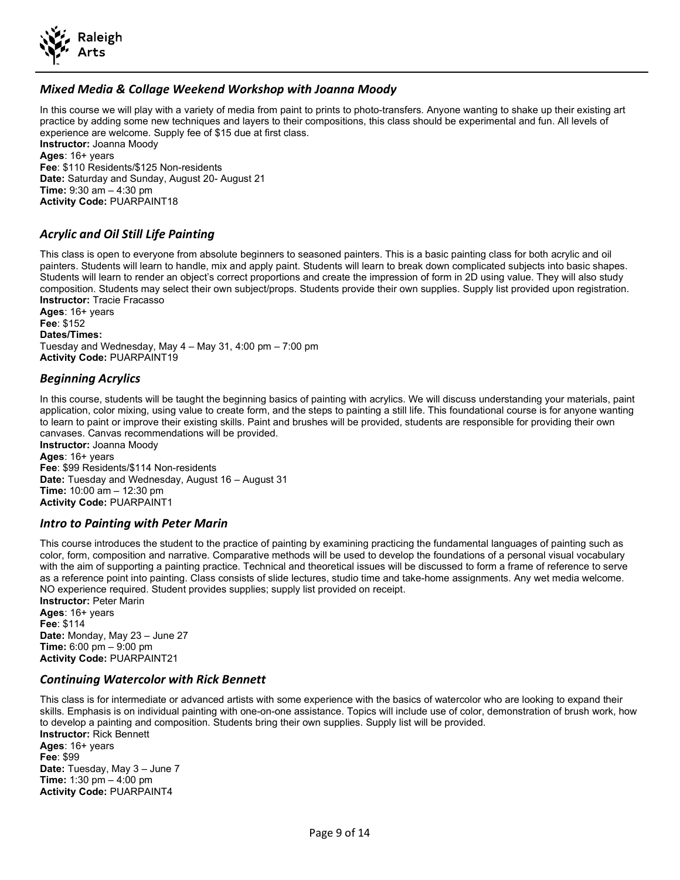

#### Mixed Media & Collage Weekend Workshop with Joanna Moody

In this course we will play with a variety of media from paint to prints to photo-transfers. Anyone wanting to shake up their existing art practice by adding some new techniques and layers to their compositions, this class should be experimental and fun. All levels of experience are welcome. Supply fee of \$15 due at first class. Instructor: Joanna Moody Ages: 16+ years Fee: \$110 Residents/\$125 Non-residents Date: Saturday and Sunday, August 20- August 21 Time: 9:30 am – 4:30 pm Activity Code: PUARPAINT18

#### Acrylic and Oil Still Life Painting

This class is open to everyone from absolute beginners to seasoned painters. This is a basic painting class for both acrylic and oil painters. Students will learn to handle, mix and apply paint. Students will learn to break down complicated subjects into basic shapes. Students will learn to render an object's correct proportions and create the impression of form in 2D using value. They will also study composition. Students may select their own subject/props. Students provide their own supplies. Supply list provided upon registration. Instructor: Tracie Fracasso

Ages: 16+ years Fee: \$152 Dates/Times: Tuesday and Wednesday, May 4 – May 31, 4:00 pm – 7:00 pm Activity Code: PUARPAINT19

#### Beginning Acrylics

In this course, students will be taught the beginning basics of painting with acrylics. We will discuss understanding your materials, paint application, color mixing, using value to create form, and the steps to painting a still life. This foundational course is for anyone wanting to learn to paint or improve their existing skills. Paint and brushes will be provided, students are responsible for providing their own canvases. Canvas recommendations will be provided.

Instructor: Joanna Moody Ages: 16+ years Fee: \$99 Residents/\$114 Non-residents Date: Tuesday and Wednesday, August 16 – August 31 Time: 10:00 am – 12:30 pm Activity Code: PUARPAINT1

#### Intro to Painting with Peter Marin

This course introduces the student to the practice of painting by examining practicing the fundamental languages of painting such as color, form, composition and narrative. Comparative methods will be used to develop the foundations of a personal visual vocabulary with the aim of supporting a painting practice. Technical and theoretical issues will be discussed to form a frame of reference to serve as a reference point into painting. Class consists of slide lectures, studio time and take-home assignments. Any wet media welcome. NO experience required. Student provides supplies; supply list provided on receipt. Instructor: Peter Marin Ages: 16+ years

Fee: \$114 Date: Monday, May 23 – June 27 Time: 6:00 pm – 9:00 pm Activity Code: PUARPAINT21

Activity Code: PUARPAINT4

#### Continuing Watercolor with Rick Bennett

This class is for intermediate or advanced artists with some experience with the basics of watercolor who are looking to expand their skills. Emphasis is on individual painting with one-on-one assistance. Topics will include use of color, demonstration of brush work, how to develop a painting and composition. Students bring their own supplies. Supply list will be provided. Instructor: Rick Bennett Ages: 16+ years Fee: \$99 Date: Tuesday, May 3 – June 7 Time: 1:30 pm – 4:00 pm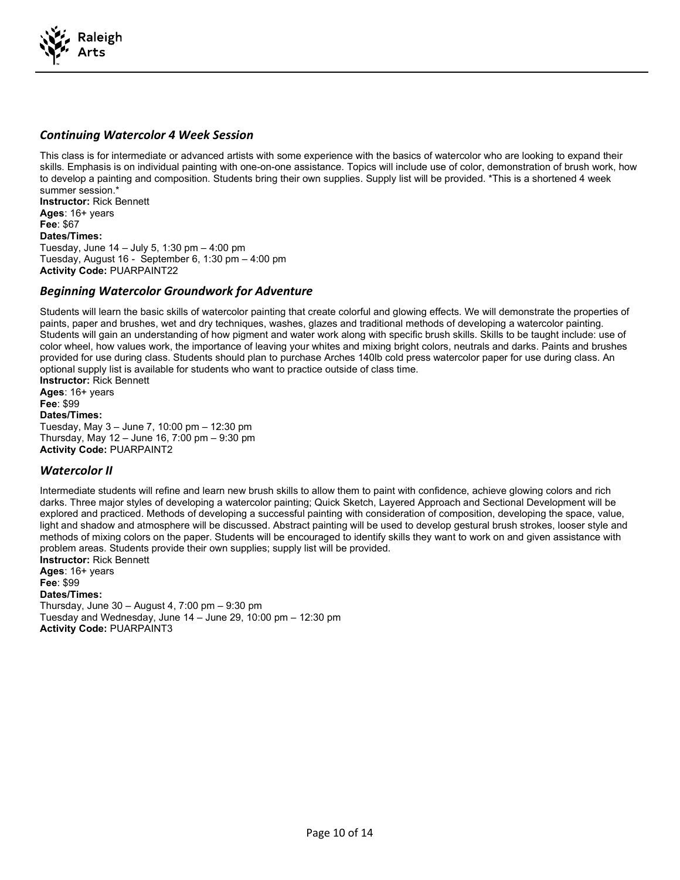

#### Continuing Watercolor 4 Week Session

This class is for intermediate or advanced artists with some experience with the basics of watercolor who are looking to expand their skills. Emphasis is on individual painting with one-on-one assistance. Topics will include use of color, demonstration of brush work, how to develop a painting and composition. Students bring their own supplies. Supply list will be provided. \*This is a shortened 4 week summer session.\*

Instructor: Rick Bennett Ages: 16+ years Fee: \$67 Dates/Times: Tuesday, June 14 – July 5, 1:30 pm – 4:00 pm Tuesday, August 16 - September 6, 1:30 pm – 4:00 pm Activity Code: PUARPAINT22

#### Beginning Watercolor Groundwork for Adventure

Students will learn the basic skills of watercolor painting that create colorful and glowing effects. We will demonstrate the properties of paints, paper and brushes, wet and dry techniques, washes, glazes and traditional methods of developing a watercolor painting. Students will gain an understanding of how pigment and water work along with specific brush skills. Skills to be taught include: use of color wheel, how values work, the importance of leaving your whites and mixing bright colors, neutrals and darks. Paints and brushes provided for use during class. Students should plan to purchase Arches 140lb cold press watercolor paper for use during class. An optional supply list is available for students who want to practice outside of class time.

Instructor: Rick Bennett Ages: 16+ years Fee: \$99 Dates/Times: Tuesday, May 3 – June 7, 10:00 pm – 12:30 pm Thursday, May 12 – June 16, 7:00 pm – 9:30 pm Activity Code: PUARPAINT2

#### Watercolor II

Intermediate students will refine and learn new brush skills to allow them to paint with confidence, achieve glowing colors and rich darks. Three major styles of developing a watercolor painting; Quick Sketch, Layered Approach and Sectional Development will be explored and practiced. Methods of developing a successful painting with consideration of composition, developing the space, value, light and shadow and atmosphere will be discussed. Abstract painting will be used to develop gestural brush strokes, looser style and methods of mixing colors on the paper. Students will be encouraged to identify skills they want to work on and given assistance with problem areas. Students provide their own supplies; supply list will be provided.

Instructor: Rick Bennett Ages: 16+ years Fee: \$99 Dates/Times: Thursday, June 30 – August 4, 7:00 pm – 9:30 pm Tuesday and Wednesday, June 14 – June 29, 10:00 pm – 12:30 pm Activity Code: PUARPAINT3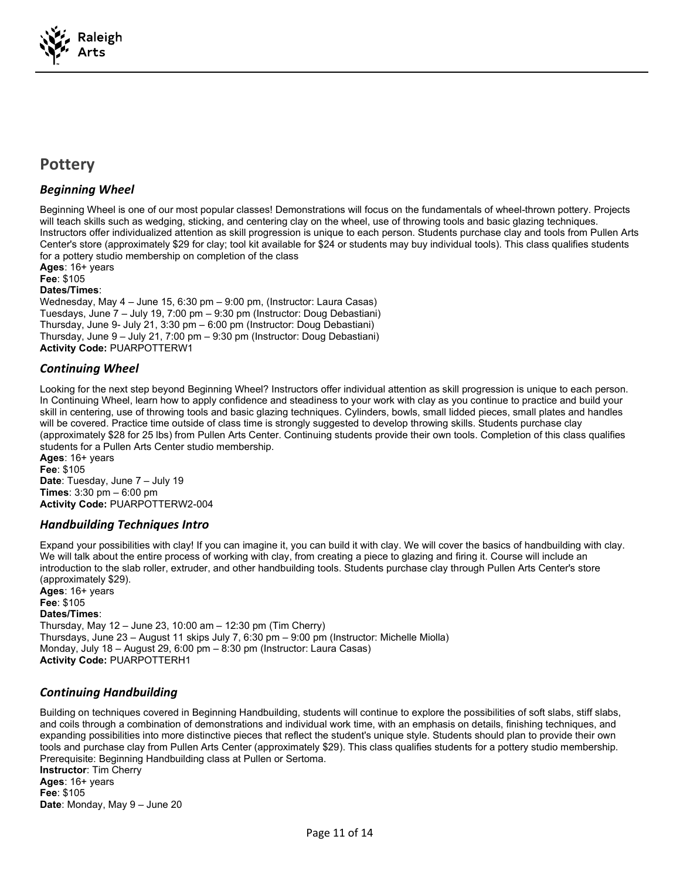

# **Pottery**

#### Beginning Wheel

Beginning Wheel is one of our most popular classes! Demonstrations will focus on the fundamentals of wheel-thrown pottery. Projects will teach skills such as wedging, sticking, and centering clay on the wheel, use of throwing tools and basic glazing techniques. Instructors offer individualized attention as skill progression is unique to each person. Students purchase clay and tools from Pullen Arts Center's store (approximately \$29 for clay; tool kit available for \$24 or students may buy individual tools). This class qualifies students for a pottery studio membership on completion of the class

Ages: 16+ years Fee: \$105 Dates/Times: Wednesday, May 4 – June 15, 6:30 pm – 9:00 pm, (Instructor: Laura Casas) Tuesdays, June 7 – July 19, 7:00 pm – 9:30 pm (Instructor: Doug Debastiani) Thursday, June 9- July 21, 3:30 pm – 6:00 pm (Instructor: Doug Debastiani) Thursday, June 9 – July 21, 7:00 pm – 9:30 pm (Instructor: Doug Debastiani) Activity Code: PUARPOTTERW1

#### Continuing Wheel

Looking for the next step beyond Beginning Wheel? Instructors offer individual attention as skill progression is unique to each person. In Continuing Wheel, learn how to apply confidence and steadiness to your work with clay as you continue to practice and build your skill in centering, use of throwing tools and basic glazing techniques. Cylinders, bowls, small lidded pieces, small plates and handles will be covered. Practice time outside of class time is strongly suggested to develop throwing skills. Students purchase clay (approximately \$28 for 25 lbs) from Pullen Arts Center. Continuing students provide their own tools. Completion of this class qualifies students for a Pullen Arts Center studio membership.

Ages: 16+ years Fee: \$105 Date: Tuesday, June 7 - July 19 Times: 3:30 pm – 6:00 pm Activity Code: PUARPOTTERW2-004

#### Handbuilding Techniques Intro

Expand your possibilities with clay! If you can imagine it, you can build it with clay. We will cover the basics of handbuilding with clay. We will talk about the entire process of working with clay, from creating a piece to glazing and firing it. Course will include an introduction to the slab roller, extruder, and other handbuilding tools. Students purchase clay through Pullen Arts Center's store (approximately \$29).

Ages: 16+ years Fee: \$105 Dates/Times: Thursday, May 12 – June 23, 10:00 am – 12:30 pm (Tim Cherry) Thursdays, June 23 – August 11 skips July 7, 6:30 pm – 9:00 pm (Instructor: Michelle Miolla) Monday, July 18 – August 29, 6:00 pm – 8:30 pm (Instructor: Laura Casas) Activity Code: PUARPOTTERH1

#### Continuing Handbuilding

Building on techniques covered in Beginning Handbuilding, students will continue to explore the possibilities of soft slabs, stiff slabs, and coils through a combination of demonstrations and individual work time, with an emphasis on details, finishing techniques, and expanding possibilities into more distinctive pieces that reflect the student's unique style. Students should plan to provide their own tools and purchase clay from Pullen Arts Center (approximately \$29). This class qualifies students for a pottery studio membership. Prerequisite: Beginning Handbuilding class at Pullen or Sertoma. Instructor: Tim Cherry Ages: 16+ years Fee: \$105 Date: Monday, May 9 - June 20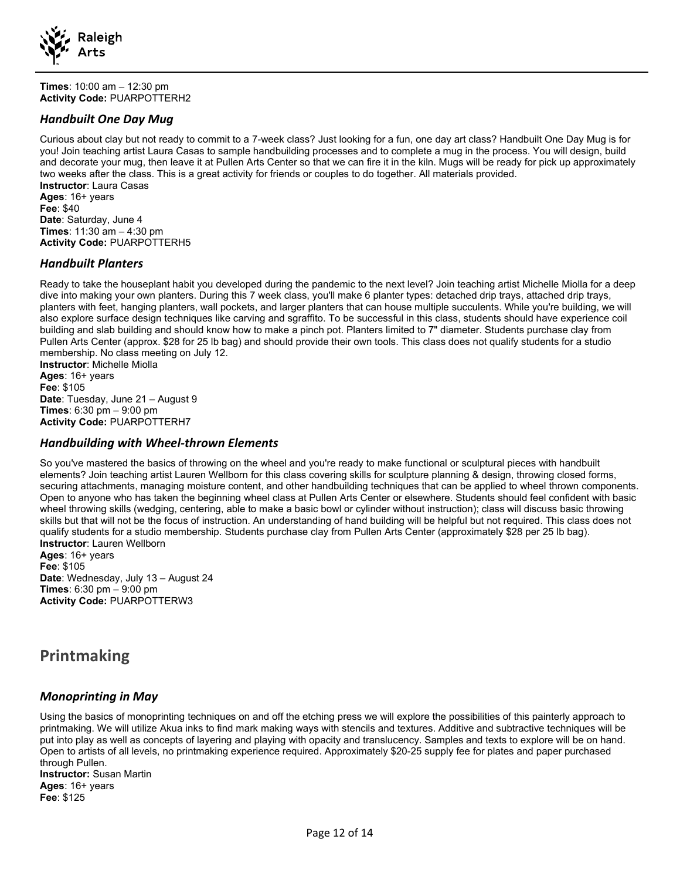

Times: 10:00 am – 12:30 pm Activity Code: PUARPOTTERH2

#### Handbuilt One Day Mug

Curious about clay but not ready to commit to a 7-week class? Just looking for a fun, one day art class? Handbuilt One Day Mug is for you! Join teaching artist Laura Casas to sample handbuilding processes and to complete a mug in the process. You will design, build and decorate your mug, then leave it at Pullen Arts Center so that we can fire it in the kiln. Mugs will be ready for pick up approximately two weeks after the class. This is a great activity for friends or couples to do together. All materials provided. Instructor: Laura Casas Ages: 16+ years Fee: \$40 Date: Saturday, June 4 Times: 11:30 am – 4:30 pm

Activity Code: PUARPOTTERH5

#### Handbuilt Planters

Ready to take the houseplant habit you developed during the pandemic to the next level? Join teaching artist Michelle Miolla for a deep dive into making your own planters. During this 7 week class, you'll make 6 planter types: detached drip trays, attached drip trays, planters with feet, hanging planters, wall pockets, and larger planters that can house multiple succulents. While you're building, we will also explore surface design techniques like carving and sgraffito. To be successful in this class, students should have experience coil building and slab building and should know how to make a pinch pot. Planters limited to 7" diameter. Students purchase clay from Pullen Arts Center (approx. \$28 for 25 lb bag) and should provide their own tools. This class does not qualify students for a studio membership. No class meeting on July 12. Instructor: Michelle Miolla

Ages: 16+ years Fee: \$105 Date: Tuesday, June 21 - August 9 Times: 6:30 pm – 9:00 pm Activity Code: PUARPOTTERH7

#### Handbuilding with Wheel-thrown Elements

So you've mastered the basics of throwing on the wheel and you're ready to make functional or sculptural pieces with handbuilt elements? Join teaching artist Lauren Wellborn for this class covering skills for sculpture planning & design, throwing closed forms, securing attachments, managing moisture content, and other handbuilding techniques that can be applied to wheel thrown components. Open to anyone who has taken the beginning wheel class at Pullen Arts Center or elsewhere. Students should feel confident with basic wheel throwing skills (wedging, centering, able to make a basic bowl or cylinder without instruction); class will discuss basic throwing skills but that will not be the focus of instruction. An understanding of hand building will be helpful but not required. This class does not qualify students for a studio membership. Students purchase clay from Pullen Arts Center (approximately \$28 per 25 lb bag). Instructor: Lauren Wellborn

Ages: 16+ years Fee: \$105 Date: Wednesday, July 13 – August 24 Times: 6:30 pm – 9:00 pm Activity Code: PUARPOTTERW3

# Printmaking

#### Monoprinting in May

Using the basics of monoprinting techniques on and off the etching press we will explore the possibilities of this painterly approach to printmaking. We will utilize Akua inks to find mark making ways with stencils and textures. Additive and subtractive techniques will be put into play as well as concepts of layering and playing with opacity and translucency. Samples and texts to explore will be on hand. Open to artists of all levels, no printmaking experience required. Approximately \$20-25 supply fee for plates and paper purchased through Pullen.

Instructor: Susan Martin Ages: 16+ years Fee: \$125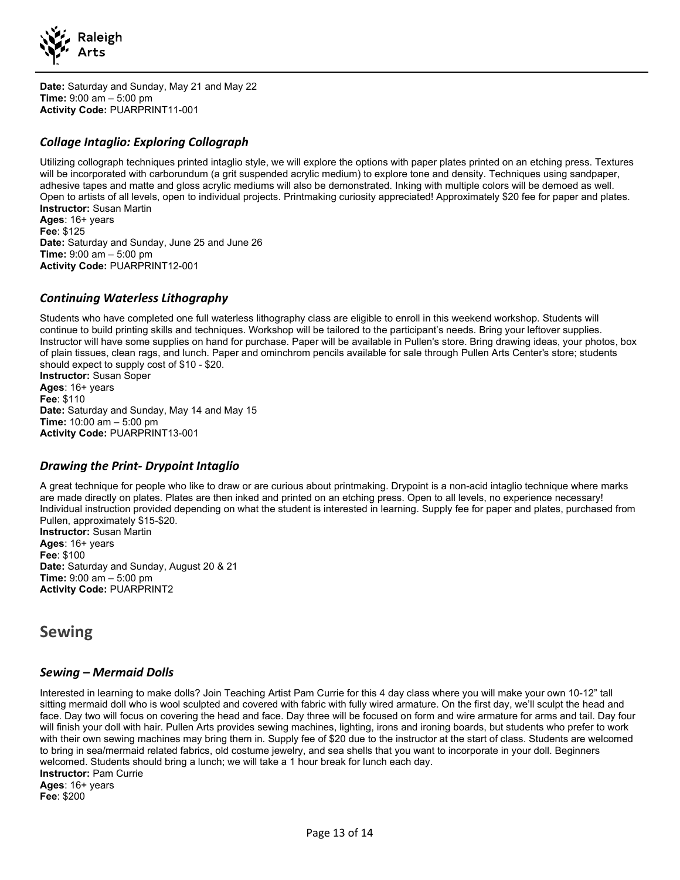

Date: Saturday and Sunday, May 21 and May 22 Time: 9:00 am – 5:00 pm Activity Code: PUARPRINT11-001

#### Collage Intaglio: Exploring Collograph

Utilizing collograph techniques printed intaglio style, we will explore the options with paper plates printed on an etching press. Textures will be incorporated with carborundum (a grit suspended acrylic medium) to explore tone and density. Techniques using sandpaper, adhesive tapes and matte and gloss acrylic mediums will also be demonstrated. Inking with multiple colors will be demoed as well. Open to artists of all levels, open to individual projects. Printmaking curiosity appreciated! Approximately \$20 fee for paper and plates. Instructor: Susan Martin Ages: 16+ years

Fee: \$125 Date: Saturday and Sunday, June 25 and June 26 Time: 9:00 am – 5:00 pm Activity Code: PUARPRINT12-001

#### Continuing Waterless Lithography

Students who have completed one full waterless lithography class are eligible to enroll in this weekend workshop. Students will continue to build printing skills and techniques. Workshop will be tailored to the participant's needs. Bring your leftover supplies. Instructor will have some supplies on hand for purchase. Paper will be available in Pullen's store. Bring drawing ideas, your photos, box of plain tissues, clean rags, and lunch. Paper and ominchrom pencils available for sale through Pullen Arts Center's store; students should expect to supply cost of \$10 - \$20.

Instructor: Susan Soper Ages: 16+ years Fee: \$110 Date: Saturday and Sunday, May 14 and May 15 Time: 10:00 am – 5:00 pm Activity Code: PUARPRINT13-001

#### Drawing the Print- Drypoint Intaglio

A great technique for people who like to draw or are curious about printmaking. Drypoint is a non-acid intaglio technique where marks are made directly on plates. Plates are then inked and printed on an etching press. Open to all levels, no experience necessary! Individual instruction provided depending on what the student is interested in learning. Supply fee for paper and plates, purchased from Pullen, approximately \$15-\$20.

Instructor: Susan Martin Ages: 16+ years Fee: \$100 Date: Saturday and Sunday, August 20 & 21 Time: 9:00 am – 5:00 pm Activity Code: PUARPRINT2

### Sewing

#### Sewing – Mermaid Dolls

Interested in learning to make dolls? Join Teaching Artist Pam Currie for this 4 day class where you will make your own 10-12" tall sitting mermaid doll who is wool sculpted and covered with fabric with fully wired armature. On the first day, we'll sculpt the head and face. Day two will focus on covering the head and face. Day three will be focused on form and wire armature for arms and tail. Day four will finish your doll with hair. Pullen Arts provides sewing machines, lighting, irons and ironing boards, but students who prefer to work with their own sewing machines may bring them in. Supply fee of \$20 due to the instructor at the start of class. Students are welcomed to bring in sea/mermaid related fabrics, old costume jewelry, and sea shells that you want to incorporate in your doll. Beginners welcomed. Students should bring a lunch; we will take a 1 hour break for lunch each day. Instructor: Pam Currie Ages: 16+ years Fee: \$200